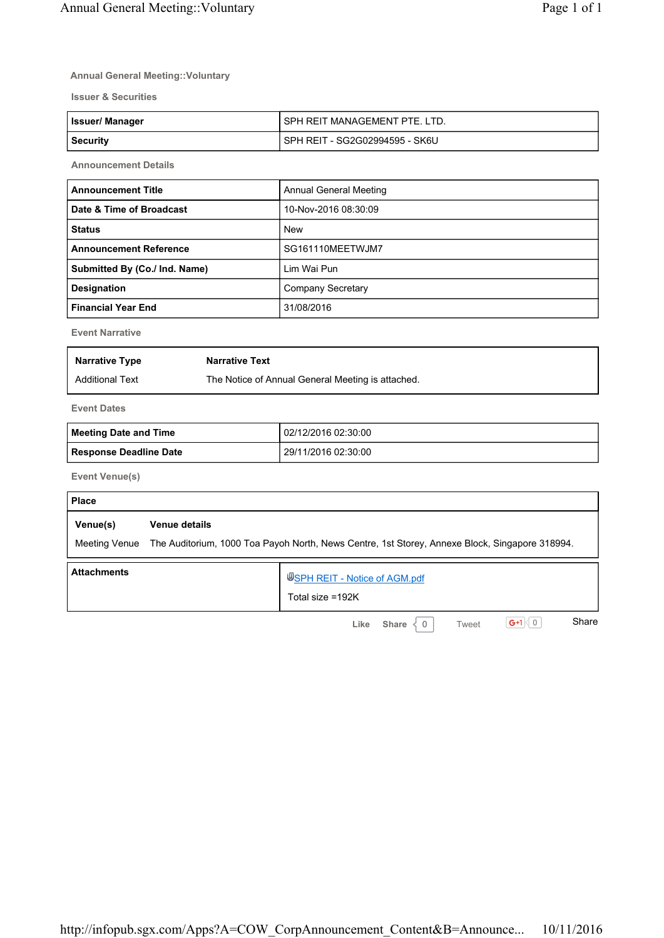### **Annual General Meeting::Voluntary**

**Issuer & Securities**

| <b>Issuer/Manager</b> | I SPH REIT MANAGEMENT PTE. LTD.  |
|-----------------------|----------------------------------|
| Security              | l SPH REIT - SG2G02994595 - SK6U |

**Announcement Details**

| <b>Announcement Title</b>     | Annual General Meeting |
|-------------------------------|------------------------|
| Date & Time of Broadcast      | 10-Nov-2016 08:30:09   |
| <b>Status</b>                 | <b>New</b>             |
| <b>Announcement Reference</b> | SG161110MEETWJM7       |
| Submitted By (Co./ Ind. Name) | Lim Wai Pun            |
| Designation                   | Company Secretary      |
| <b>Financial Year End</b>     | 31/08/2016             |

**Event Narrative**

| <b>Narrative Type</b>  | <b>Narrative Text</b>                             |
|------------------------|---------------------------------------------------|
| <b>Additional Text</b> | The Notice of Annual General Meeting is attached. |

**Event Dates**

| Meeting Date and Time  | l 02/12/2016 02:30:00 |
|------------------------|-----------------------|
| Response Deadline Date | l 29/11/2016 02:30:00 |

**Event Venue(s)**

| <b>Place</b>              |                                                                                                                 |
|---------------------------|-----------------------------------------------------------------------------------------------------------------|
| Venue(s)<br>Meeting Venue | Venue details<br>The Auditorium, 1000 Toa Payoh North, News Centre, 1st Storey, Annexe Block, Singapore 318994. |
|                           |                                                                                                                 |
| <b>Attachments</b>        | USPH REIT - Notice of AGM.pdf<br>Total size =192K                                                               |
|                           | Share<br>$G+1$<br>Like<br>Tweet<br><b>Share</b>                                                                 |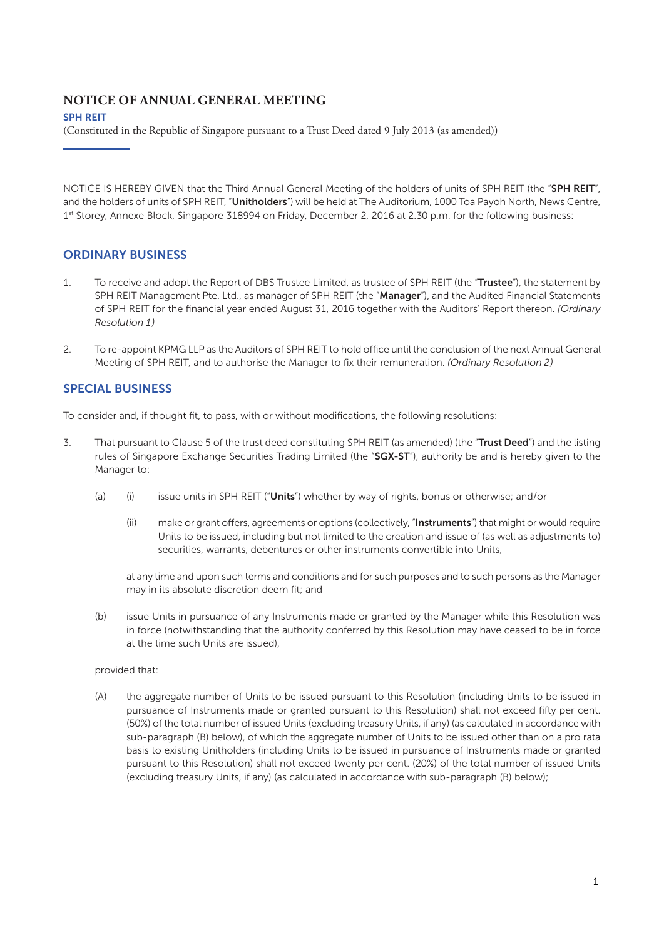### SPH REIT

(Constituted in the Republic of Singapore pursuant to a Trust Deed dated 9 July 2013 (as amended))

NOTICE IS HEREBY GIVEN that the Third Annual General Meeting of the holders of units of SPH REIT (the "SPH REIT", and the holders of units of SPH REIT, "Unitholders") will be held at The Auditorium, 1000 Toa Payoh North, News Centre, 1st Storey, Annexe Block, Singapore 318994 on Friday, December 2, 2016 at 2.30 p.m. for the following business:

## ORDINARY BUSINESS

- 1. To receive and adopt the Report of DBS Trustee Limited, as trustee of SPH REIT (the "Trustee"), the statement by SPH REIT Management Pte. Ltd., as manager of SPH REIT (the "Manager"), and the Audited Financial Statements of SPH REIT for the financial year ended August 31, 2016 together with the Auditors' Report thereon. *(Ordinary Resolution 1)*
- 2. To re-appoint KPMG LLP as the Auditors of SPH REIT to hold office until the conclusion of the next Annual General Meeting of SPH REIT, and to authorise the Manager to fix their remuneration. *(Ordinary Resolution 2)*

## SPECIAL BUSINESS

To consider and, if thought fit, to pass, with or without modifications, the following resolutions:

- 3. That pursuant to Clause 5 of the trust deed constituting SPH REIT (as amended) (the "Trust Deed") and the listing rules of Singapore Exchange Securities Trading Limited (the "SGX-ST"), authority be and is hereby given to the Manager to:
	- (a) (i) issue units in SPH REIT ("Units") whether by way of rights, bonus or otherwise; and/or
		- (ii) make or grant offers, agreements or options (collectively, "Instruments") that might or would require Units to be issued, including but not limited to the creation and issue of (as well as adjustments to) securities, warrants, debentures or other instruments convertible into Units,

at any time and upon such terms and conditions and for such purposes and to such persons as the Manager may in its absolute discretion deem fit; and

(b) issue Units in pursuance of any Instruments made or granted by the Manager while this Resolution was in force (notwithstanding that the authority conferred by this Resolution may have ceased to be in force at the time such Units are issued),

#### provided that:

(A) the aggregate number of Units to be issued pursuant to this Resolution (including Units to be issued in pursuance of Instruments made or granted pursuant to this Resolution) shall not exceed fifty per cent. (50%) of the total number of issued Units (excluding treasury Units, if any) (as calculated in accordance with sub-paragraph (B) below), of which the aggregate number of Units to be issued other than on a pro rata basis to existing Unitholders (including Units to be issued in pursuance of Instruments made or granted pursuant to this Resolution) shall not exceed twenty per cent. (20%) of the total number of issued Units (excluding treasury Units, if any) (as calculated in accordance with sub-paragraph (B) below);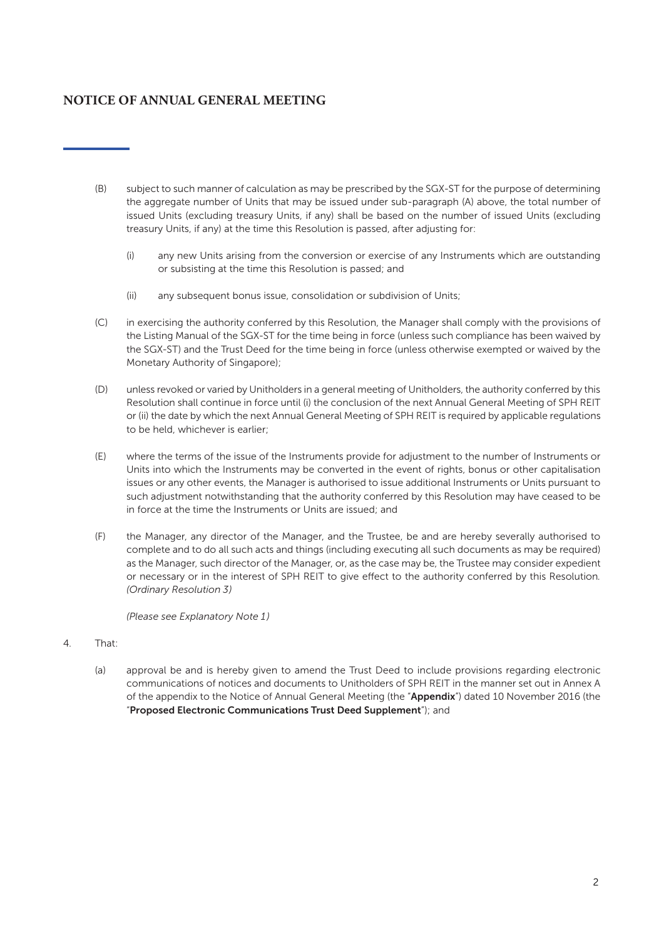- (B) subject to such manner of calculation as may be prescribed by the SGX-ST for the purpose of determining the aggregate number of Units that may be issued under sub-paragraph (A) above, the total number of issued Units (excluding treasury Units, if any) shall be based on the number of issued Units (excluding treasury Units, if any) at the time this Resolution is passed, after adjusting for:
	- (i) any new Units arising from the conversion or exercise of any Instruments which are outstanding or subsisting at the time this Resolution is passed; and
	- (ii) any subsequent bonus issue, consolidation or subdivision of Units;
- (C) in exercising the authority conferred by this Resolution, the Manager shall comply with the provisions of the Listing Manual of the SGX-ST for the time being in force (unless such compliance has been waived by the SGX-ST) and the Trust Deed for the time being in force (unless otherwise exempted or waived by the Monetary Authority of Singapore);
- (D) unless revoked or varied by Unitholders in a general meeting of Unitholders, the authority conferred by this Resolution shall continue in force until (i) the conclusion of the next Annual General Meeting of SPH REIT or (ii) the date by which the next Annual General Meeting of SPH REIT is required by applicable regulations to be held, whichever is earlier;
- (E) where the terms of the issue of the Instruments provide for adjustment to the number of Instruments or Units into which the Instruments may be converted in the event of rights, bonus or other capitalisation issues or any other events, the Manager is authorised to issue additional Instruments or Units pursuant to such adjustment notwithstanding that the authority conferred by this Resolution may have ceased to be in force at the time the Instruments or Units are issued; and
- (F) the Manager, any director of the Manager, and the Trustee, be and are hereby severally authorised to complete and to do all such acts and things (including executing all such documents as may be required) as the Manager, such director of the Manager, or, as the case may be, the Trustee may consider expedient or necessary or in the interest of SPH REIT to give effect to the authority conferred by this Resolution*. (Ordinary Resolution 3)*

*(Please see Explanatory Note 1)*

- 4. That:
	- (a) approval be and is hereby given to amend the Trust Deed to include provisions regarding electronic communications of notices and documents to Unitholders of SPH REIT in the manner set out in Annex A of the appendix to the Notice of Annual General Meeting (the "Appendix") dated 10 November 2016 (the "Proposed Electronic Communications Trust Deed Supplement"); and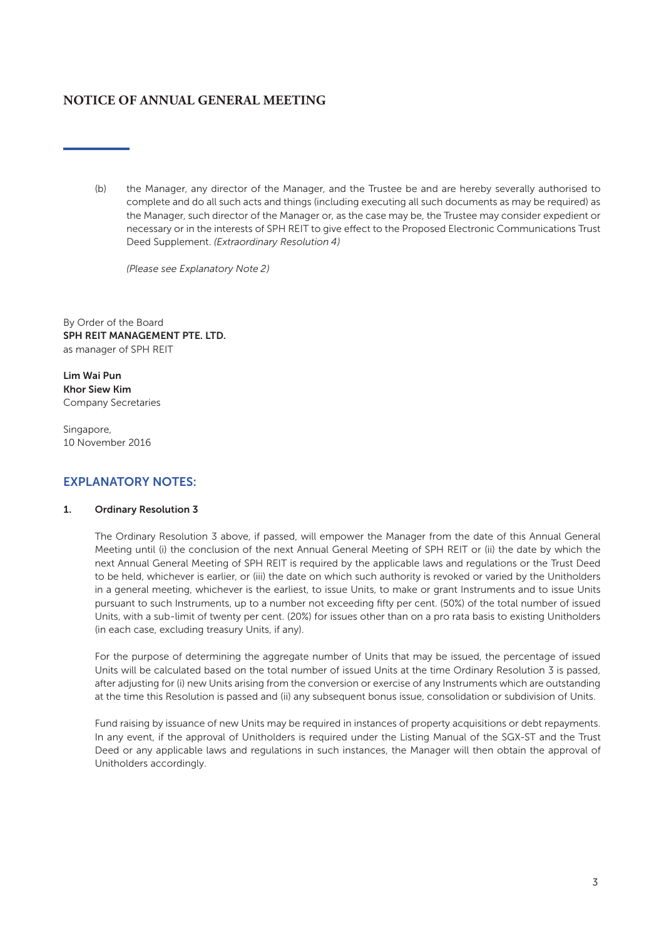(b) the Manager, any director of the Manager, and the Trustee be and are hereby severally authorised to complete and do all such acts and things (including executing all such documents as may be required) as the Manager, such director of the Manager or, as the case may be, the Trustee may consider expedient or necessary or in the interests of SPH REIT to give effect to the Proposed Electronic Communications Trust Deed Supplement. *(Extraordinary Resolution 4)*

*(Please see Explanatory Note 2)*

By Order of the Board SPH REIT MANAGEMENT PTE. LTD. as manager of SPH REIT

Lim Wai Pun Khor Siew Kim Company Secretaries

Singapore, 10 November 2016

## EXPLANATORY NOTES:

### 1. Ordinary Resolution 3

The Ordinary Resolution 3 above, if passed, will empower the Manager from the date of this Annual General Meeting until (i) the conclusion of the next Annual General Meeting of SPH REIT or (ii) the date by which the next Annual General Meeting of SPH REIT is required by the applicable laws and regulations or the Trust Deed to be held, whichever is earlier, or (iii) the date on which such authority is revoked or varied by the Unitholders in a general meeting, whichever is the earliest, to issue Units, to make or grant Instruments and to issue Units pursuant to such Instruments, up to a number not exceeding fifty per cent. (50%) of the total number of issued Units, with a sub-limit of twenty per cent. (20%) for issues other than on a pro rata basis to existing Unitholders (in each case, excluding treasury Units, if any).

For the purpose of determining the aggregate number of Units that may be issued, the percentage of issued Units will be calculated based on the total number of issued Units at the time Ordinary Resolution 3 is passed, after adjusting for (i) new Units arising from the conversion or exercise of any Instruments which are outstanding at the time this Resolution is passed and (ii) any subsequent bonus issue, consolidation or subdivision of Units.

Fund raising by issuance of new Units may be required in instances of property acquisitions or debt repayments. In any event, if the approval of Unitholders is required under the Listing Manual of the SGX-ST and the Trust Deed or any applicable laws and regulations in such instances, the Manager will then obtain the approval of Unitholders accordingly.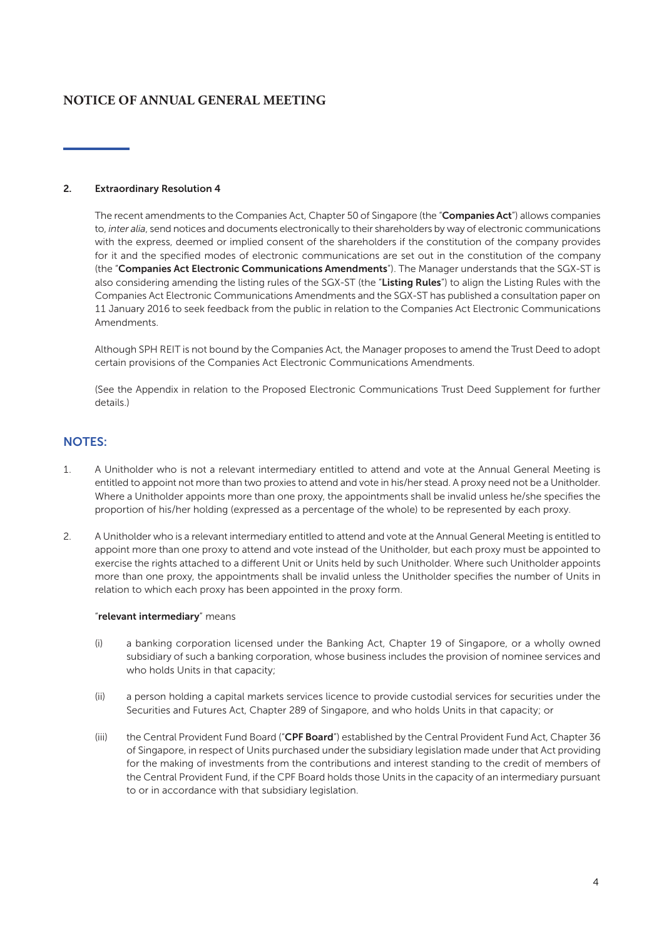#### 2. Extraordinary Resolution 4

The recent amendments to the Companies Act, Chapter 50 of Singapore (the "Companies Act") allows companies to, *inter alia*, send notices and documents electronically to their shareholders by way of electronic communications with the express, deemed or implied consent of the shareholders if the constitution of the company provides for it and the specified modes of electronic communications are set out in the constitution of the company (the "Companies Act Electronic Communications Amendments"). The Manager understands that the SGX-ST is also considering amending the listing rules of the SGX-ST (the "Listing Rules") to align the Listing Rules with the Companies Act Electronic Communications Amendments and the SGX-ST has published a consultation paper on 11 January 2016 to seek feedback from the public in relation to the Companies Act Electronic Communications Amendments.

Although SPH REIT is not bound by the Companies Act, the Manager proposes to amend the Trust Deed to adopt certain provisions of the Companies Act Electronic Communications Amendments.

(See the Appendix in relation to the Proposed Electronic Communications Trust Deed Supplement for further details.)

### NOTES:

- 1. A Unitholder who is not a relevant intermediary entitled to attend and vote at the Annual General Meeting is entitled to appoint not more than two proxies to attend and vote in his/her stead. A proxy need not be a Unitholder. Where a Unitholder appoints more than one proxy, the appointments shall be invalid unless he/she specifies the proportion of his/her holding (expressed as a percentage of the whole) to be represented by each proxy.
- 2. A Unitholder who is a relevant intermediary entitled to attend and vote at the Annual General Meeting is entitled to appoint more than one proxy to attend and vote instead of the Unitholder, but each proxy must be appointed to exercise the rights attached to a different Unit or Units held by such Unitholder. Where such Unitholder appoints more than one proxy, the appointments shall be invalid unless the Unitholder specifies the number of Units in relation to which each proxy has been appointed in the proxy form.

#### "relevant intermediary" means

- (i) a banking corporation licensed under the Banking Act, Chapter 19 of Singapore, or a wholly owned subsidiary of such a banking corporation, whose business includes the provision of nominee services and who holds Units in that capacity;
- (ii) a person holding a capital markets services licence to provide custodial services for securities under the Securities and Futures Act, Chapter 289 of Singapore, and who holds Units in that capacity; or
- (iii) the Central Provident Fund Board ("CPF Board") established by the Central Provident Fund Act, Chapter 36 of Singapore, in respect of Units purchased under the subsidiary legislation made under that Act providing for the making of investments from the contributions and interest standing to the credit of members of the Central Provident Fund, if the CPF Board holds those Units in the capacity of an intermediary pursuant to or in accordance with that subsidiary legislation.